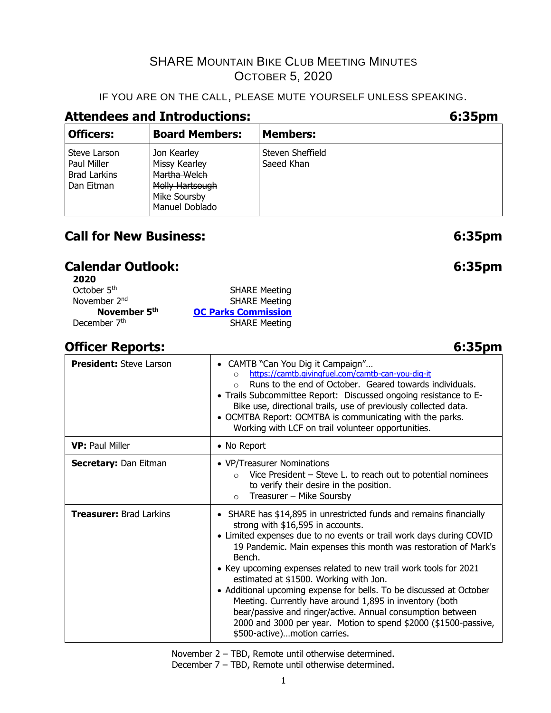## IF YOU ARE ON THE CALL, PLEASE MUTE YOURSELF UNLESS SPEAKING.

## **Attendees and Introductions: 6:35pm**

| <b>Officers:</b>                                                 | <b>Board Members:</b>                                                                             | <b>Members:</b>                |
|------------------------------------------------------------------|---------------------------------------------------------------------------------------------------|--------------------------------|
| Steve Larson<br>Paul Miller<br><b>Brad Larkins</b><br>Dan Eitman | Jon Kearley<br>Missy Kearley<br>Martha Welch<br>Molly Hartsough<br>Mike Soursby<br>Manuel Doblado | Steven Sheffield<br>Saeed Khan |

## **Call for New Business: 6:35pm**

## **Calendar Outlook: 6:35pm**

| 2020                     |                            |
|--------------------------|----------------------------|
| October 5 <sup>th</sup>  | <b>SHARE Meeting</b>       |
| November 2 <sup>nd</sup> | <b>SHARE Meeting</b>       |
| November 5th             | <b>OC Parks Commission</b> |
| December 7th             | <b>SHARE Meeting</b>       |

## **Officer Reports: 6:35pm**

#### **President:** Steve Larson **• CAMTB** "Can You Dig it Campaign"... o <https://camtb.givingfuel.com/camtb-can-you-dig-it> o Runs to the end of October. Geared towards individuals. • Trails Subcommittee Report: Discussed ongoing resistance to E-Bike use, directional trails, use of previously collected data. • OCMTBA Report: OCMTBA is communicating with the parks. Working with LCF on trail volunteer opportunities. **VP:** Paul Miller **• No Report Secretary:** Dan Eitman **• VP/Treasurer Nominations**  $\circ$  Vice President – Steve L. to reach out to potential nominees to verify their desire in the position.  $\circ$  Treasurer – Mike Soursby **Treasurer:** Brad Larkins **•** SHARE has \$14,895 in unrestricted funds and remains financially strong with \$16,595 in accounts. • Limited expenses due to no events or trail work days during COVID 19 Pandemic. Main expenses this month was restoration of Mark's Bench. • Key upcoming expenses related to new trail work tools for 2021 estimated at \$1500. Working with Jon. • Additional upcoming expense for bells. To be discussed at October Meeting. Currently have around 1,895 in inventory (both bear/passive and ringer/active. Annual consumption between 2000 and 3000 per year. Motion to spend \$2000 (\$1500-passive, \$500-active)…motion carries.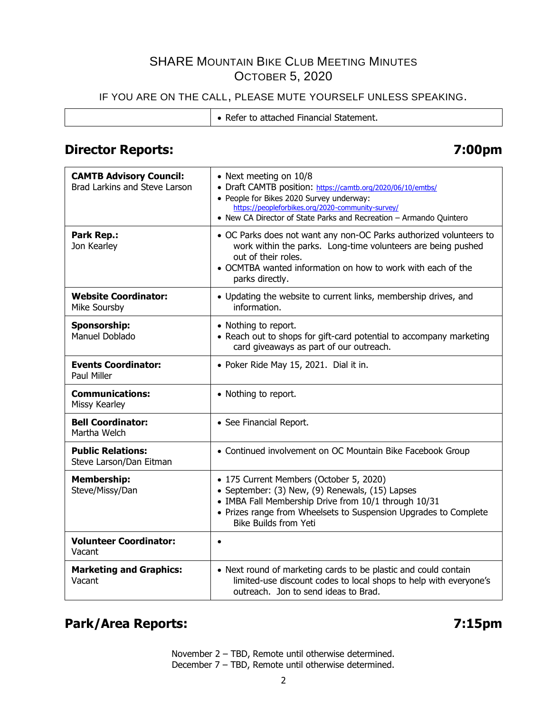## IF YOU ARE ON THE CALL, PLEASE MUTE YOURSELF UNLESS SPEAKING.

|--|

## **Director Reports: 7:00pm**

| <b>CAMTB Advisory Council:</b><br>Brad Larkins and Steve Larson | • Next meeting on 10/8<br>• Draft CAMTB position: https://camtb.org/2020/06/10/emtbs/<br>• People for Bikes 2020 Survey underway:<br>https://peopleforbikes.org/2020-community-survey/<br>• New CA Director of State Parks and Recreation - Armando Quintero |
|-----------------------------------------------------------------|--------------------------------------------------------------------------------------------------------------------------------------------------------------------------------------------------------------------------------------------------------------|
| Park Rep.:<br>Jon Kearley                                       | • OC Parks does not want any non-OC Parks authorized volunteers to<br>work within the parks. Long-time volunteers are being pushed<br>out of their roles.<br>• OCMTBA wanted information on how to work with each of the<br>parks directly.                  |
| <b>Website Coordinator:</b><br>Mike Soursby                     | • Updating the website to current links, membership drives, and<br>information.                                                                                                                                                                              |
| <b>Sponsorship:</b><br>Manuel Doblado                           | • Nothing to report.<br>• Reach out to shops for gift-card potential to accompany marketing<br>card giveaways as part of our outreach.                                                                                                                       |
| <b>Events Coordinator:</b><br>Paul Miller                       | • Poker Ride May 15, 2021. Dial it in.                                                                                                                                                                                                                       |
| <b>Communications:</b><br>Missy Kearley                         | • Nothing to report.                                                                                                                                                                                                                                         |
| <b>Bell Coordinator:</b><br>Martha Welch                        | • See Financial Report.                                                                                                                                                                                                                                      |
| <b>Public Relations:</b><br>Steve Larson/Dan Eitman             | • Continued involvement on OC Mountain Bike Facebook Group                                                                                                                                                                                                   |
| <b>Membership:</b><br>Steve/Missy/Dan                           | • 175 Current Members (October 5, 2020)<br>• September: (3) New, (9) Renewals, (15) Lapses<br>• IMBA Fall Membership Drive from 10/1 through 10/31<br>• Prizes range from Wheelsets to Suspension Upgrades to Complete<br><b>Bike Builds from Yeti</b>       |
| <b>Volunteer Coordinator:</b><br>Vacant                         | $\bullet$                                                                                                                                                                                                                                                    |
| <b>Marketing and Graphics:</b><br>Vacant                        | • Next round of marketing cards to be plastic and could contain<br>limited-use discount codes to local shops to help with everyone's<br>outreach. Jon to send ideas to Brad.                                                                                 |

## **Park/Area Reports: 7:15pm**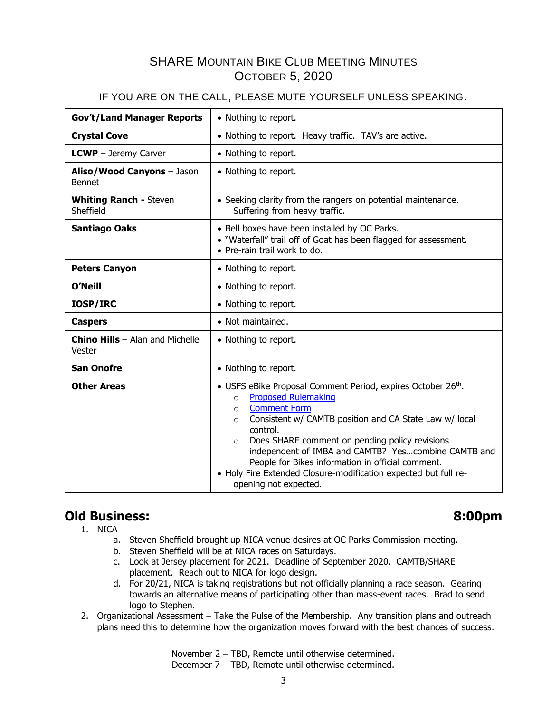### IF YOU ARE ON THE CALL, PLEASE MUTE YOURSELF UNLESS SPEAKING.

| <b>Gov't/Land Manager Reports</b>                  | • Nothing to report.                                                                                                                                                                                                                                                                                                                                                                                                                                                                          |  |  |
|----------------------------------------------------|-----------------------------------------------------------------------------------------------------------------------------------------------------------------------------------------------------------------------------------------------------------------------------------------------------------------------------------------------------------------------------------------------------------------------------------------------------------------------------------------------|--|--|
| <b>Crystal Cove</b>                                | • Nothing to report. Heavy traffic. TAV's are active.                                                                                                                                                                                                                                                                                                                                                                                                                                         |  |  |
| <b>LCWP</b> - Jeremy Carver                        | • Nothing to report.                                                                                                                                                                                                                                                                                                                                                                                                                                                                          |  |  |
| Aliso/Wood Canyons - Jason<br><b>Bennet</b>        | • Nothing to report.                                                                                                                                                                                                                                                                                                                                                                                                                                                                          |  |  |
| <b>Whiting Ranch - Steven</b><br>Sheffield         | • Seeking clarity from the rangers on potential maintenance.<br>Suffering from heavy traffic.                                                                                                                                                                                                                                                                                                                                                                                                 |  |  |
| <b>Santiago Oaks</b>                               | • Bell boxes have been installed by OC Parks.<br>. "Waterfall" trail off of Goat has been flagged for assessment.<br>• Pre-rain trail work to do.                                                                                                                                                                                                                                                                                                                                             |  |  |
| <b>Peters Canyon</b><br>• Nothing to report.       |                                                                                                                                                                                                                                                                                                                                                                                                                                                                                               |  |  |
| <b>O'Neill</b>                                     | • Nothing to report.                                                                                                                                                                                                                                                                                                                                                                                                                                                                          |  |  |
| IOSP/IRC                                           | • Nothing to report.                                                                                                                                                                                                                                                                                                                                                                                                                                                                          |  |  |
| <b>Caspers</b>                                     | • Not maintained.                                                                                                                                                                                                                                                                                                                                                                                                                                                                             |  |  |
| <b>Chino Hills</b> $-$ Alan and Michelle<br>Vester | • Nothing to report.                                                                                                                                                                                                                                                                                                                                                                                                                                                                          |  |  |
| <b>San Onofre</b>                                  | • Nothing to report.                                                                                                                                                                                                                                                                                                                                                                                                                                                                          |  |  |
| <b>Other Areas</b>                                 | • USFS eBike Proposal Comment Period, expires October 26th.<br><b>Proposed Rulemaking</b><br>$\circ$<br><b>Comment Form</b><br>$\circ$<br>Consistent w/ CAMTB position and CA State Law w/ local<br>$\circ$<br>control.<br>Does SHARE comment on pending policy revisions<br>$\Omega$<br>independent of IMBA and CAMTB? Yescombine CAMTB and<br>People for Bikes information in official comment.<br>• Holy Fire Extended Closure-modification expected but full re-<br>opening not expected. |  |  |

## **Old Business: 8:00pm**

- 1. NICA
	- a. Steven Sheffield brought up NICA venue desires at OC Parks Commission meeting.
	- b. Steven Sheffield will be at NICA races on Saturdays.
	- c. Look at Jersey placement for 2021. Deadline of September 2020. CAMTB/SHARE placement. Reach out to NICA for logo design.
	- d. For 20/21, NICA is taking registrations but not officially planning a race season. Gearing towards an alternative means of participating other than mass-event races. Brad to send logo to Stephen.
- 2. Organizational Assessment Take the Pulse of the Membership. Any transition plans and outreach plans need this to determine how the organization moves forward with the best chances of success.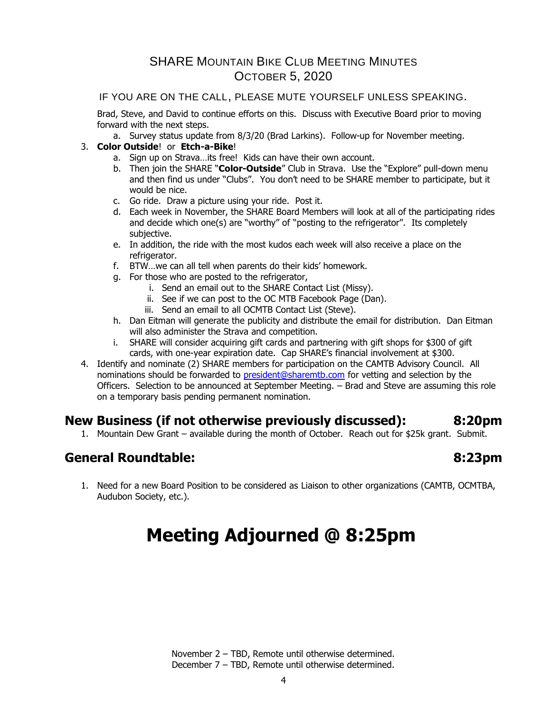#### IF YOU ARE ON THE CALL, PLEASE MUTE YOURSELF UNLESS SPEAKING.

Brad, Steve, and David to continue efforts on this. Discuss with Executive Board prior to moving forward with the next steps.

a. Survey status update from 8/3/20 (Brad Larkins). Follow-up for November meeting.

#### 3. **Color Outside**! or **Etch-a-Bike**!

- a. Sign up on Strava…its free! Kids can have their own account.
- b. Then join the SHARE "**Color-Outside**" Club in Strava. Use the "Explore" pull-down menu and then find us under "Clubs". You don't need to be SHARE member to participate, but it would be nice.
- c. Go ride. Draw a picture using your ride. Post it.
- d. Each week in November, the SHARE Board Members will look at all of the participating rides and decide which one(s) are "worthy" of "posting to the refrigerator". Its completely subjective.
- e. In addition, the ride with the most kudos each week will also receive a place on the refrigerator.
- f. BTW…we can all tell when parents do their kids' homework.
- g. For those who are posted to the refrigerator,
	- i. Send an email out to the SHARE Contact List (Missy).
	- ii. See if we can post to the OC MTB Facebook Page (Dan).
	- iii. Send an email to all OCMTB Contact List (Steve).
- h. Dan Eitman will generate the publicity and distribute the email for distribution. Dan Eitman will also administer the Strava and competition.
- i. SHARE will consider acquiring gift cards and partnering with gift shops for \$300 of gift cards, with one-year expiration date. Cap SHARE's financial involvement at \$300.
- 4. Identify and nominate (2) SHARE members for participation on the CAMTB Advisory Council. All nominations should be forwarded to [president@sharemtb.com](mailto:president@sharemtb.com) for vetting and selection by the Officers. Selection to be announced at September Meeting. – Brad and Steve are assuming this role on a temporary basis pending permanent nomination.

## **New Business (if not otherwise previously discussed): 8:20pm**

1. Mountain Dew Grant – available during the month of October. Reach out for \$25k grant. Submit.

## **General Roundtable: 8:23pm**

1. Need for a new Board Position to be considered as Liaison to other organizations (CAMTB, OCMTBA, Audubon Society, etc.).

# **Meeting Adjourned @ 8:25pm**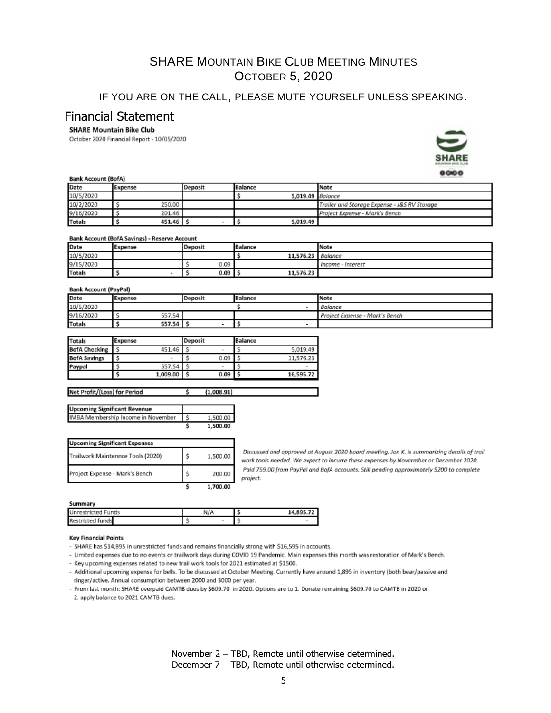### IF YOU ARE ON THE CALL, PLEASE MUTE YOURSELF UNLESS SPEAKING.

### Financial Statement

#### **SHARE Mountain Bike Club**

October 2020 Financial Report - 10/05/2020



#### **Bank Account (BofA)**

| Date<br>Expense |        | Deposit | Balance          | Note                                         |  |
|-----------------|--------|---------|------------------|----------------------------------------------|--|
| 10/5/2020       |        |         | 5.019.49 Balance |                                              |  |
| 10/2/2020       | 250.00 |         |                  | Trailer and Storage Expense - J&S RV Storage |  |
| 9/16/2020       | 201.46 |         |                  | Project Expense - Mark's Bench               |  |
| <b>Totals</b>   | 451.46 |         | 5,019.49         |                                              |  |

#### **Bank Account (BofA Savings) - Reserve Account**

| Date          | Expense | Deposit | Balance                  | Note              |
|---------------|---------|---------|--------------------------|-------------------|
| 10/5/2020     |         |         | 11,576.23 <b>Balance</b> |                   |
| 9/15/2020     |         | 0.09    |                          | Income - Interest |
| <b>Totals</b> |         | 0.09    | 11,576.23                |                   |

#### **Bank Account (PayPal)**

Not Deal's //Local for Dorion

| ------        |                    |  |                          |                                |  |
|---------------|--------------------|--|--------------------------|--------------------------------|--|
| Date          | Expense<br>Deposit |  | <b>Balance</b>           | Note                           |  |
| 10/5/2020     |                    |  |                          | Balance                        |  |
| 9/16/2020     | 557.54             |  |                          | Project Expense - Mark's Bench |  |
| <b>Totals</b> | 557.54             |  | $\overline{\phantom{a}}$ |                                |  |
|               |                    |  |                          |                                |  |

| <b>Totals</b>        | Expense |          | <b>Deposit</b> |                | <b>Balance</b> |           |
|----------------------|---------|----------|----------------|----------------|----------------|-----------|
| <b>BofA Checking</b> |         | 451.46   |                | $\blacksquare$ |                | 5.019.49  |
| <b>BofA Savings</b>  |         |          |                | 0.09           |                | 11,576.23 |
| Paypal               |         | 557.54   |                | ۰              |                |           |
|                      |         | 1,009.00 |                | 0.09           |                | 16,595.72 |

| 1,000.31 |
|----------|
|          |
|          |
| .500.00  |
|          |

|  | 0.00 |
|--|------|
|  |      |

 $(1.00001)$ 

| <b>Upcoming Significant Expenses</b> |    |          |
|--------------------------------------|----|----------|
| Trailwork Maintennce Tools (2020)    | \$ | 1,500.00 |
| Project Expense - Mark's Bench       | s  | 200.00   |
|                                      |    | .700.00  |

Discussed and approved at August 2020 board meeting. Jon K. is summarizing details of trail work tools needed. We expect to incurre these expenses by Novermber or December 2020. Paid 759.00 from PayPal and BofA accounts. Still pending approximately \$200 to complete project.

#### Summary

| <b>JULIUSE T</b>          |     |  |           |
|---------------------------|-----|--|-----------|
| <b>Unrestricted Funds</b> | N/A |  | 14.895.72 |
| <b>Restricted funds</b>   |     |  |           |

#### **Key Financial Points**

- SHARE has \$14,895 in unrestricted funds and remains financially strong with \$16,595 in accounts.

- Limited expenses due to no events or trailwork days during COVID 19 Pandemic. Main expenses this month was restoration of Mark's Bench.

- Key upcoming expenses related to new trail work tools for 2021 estimated at \$1500.
- Additional upcoming expense for bells. To be discussed at October Meeting. Currently have around 1,895 in inventory (both bear/passive and ringer/active. Annual consumption between 2000 and 3000 per year.

- From last month: SHARE overpaid CAMTB dues by \$609.70 in 2020. Options are to 1. Donate remaining \$609.70 to CAMTB in 2020 or 2. apply balance to 2021 CAMTB dues.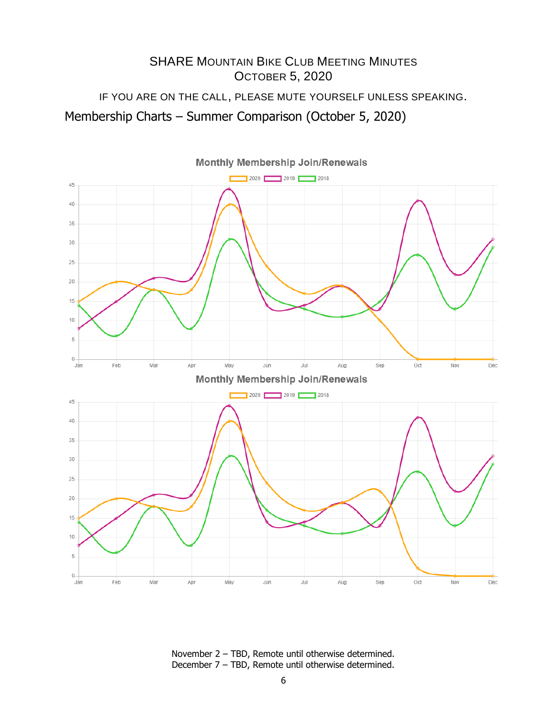## SHARE MOUNTAIN BIKE CLUB MEETING MINUTES OCTOBER 5, 2020 IF YOU ARE ON THE CALL, PLEASE MUTE YOURSELF UNLESS SPEAKING. Membership Charts – Summer Comparison (October 5, 2020)



November 2 – TBD, Remote until otherwise determined. December 7 – TBD, Remote until otherwise determined.